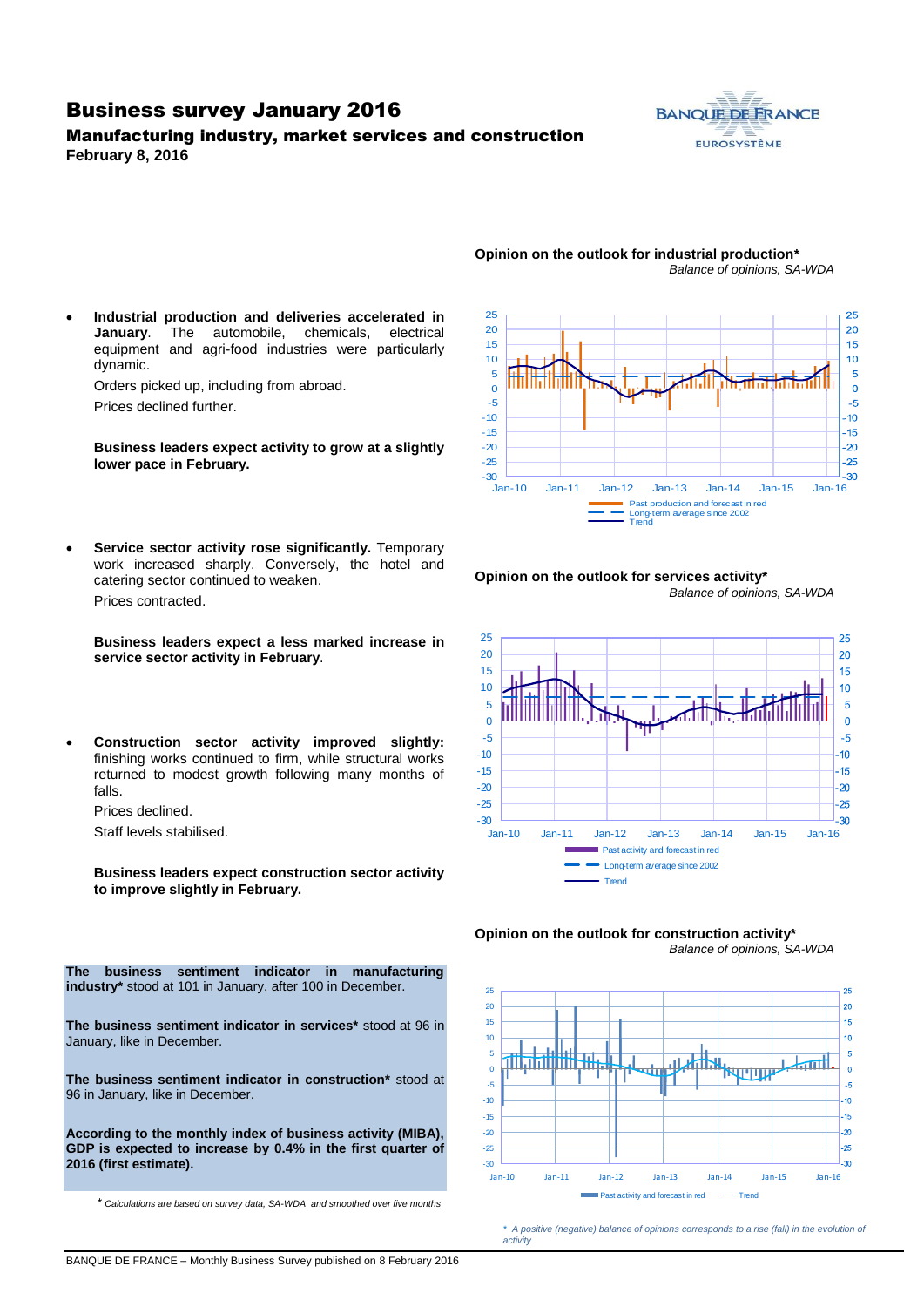## Business survey January 2016

Manufacturing industry, market services and construction **February 8, 2016**



#### **Opinion on the outlook for industrial production\*** *Balance of opinions, SA-WDA*

 **Industrial production and deliveries accelerated in January**. The automobile, chemicals, electrical equipment and agri-food industries were particularly dynamic.

Orders picked up, including from abroad.

Prices declined further.

**Business leaders expect activity to grow at a slightly lower pace in February.**

 **Service sector activity rose significantly.** Temporary work increased sharply. Conversely, the hotel and catering sector continued to weaken. Prices contracted.

**Business leaders expect a less marked increase in service sector activity in February**.

 **Construction sector activity improved slightly:**  finishing works continued to firm, while structural works returned to modest growth following many months of falls.

Prices declined.

Staff levels stabilised.

**Business leaders expect construction sector activity to improve slightly in February.**



#### **Opinion on the outlook for services activity\*** *Balance of opinions, SA-WDA*







*\* A positive (negative) balance of opinions corresponds to a rise (fall) in the evolution of activity*

**The business sentiment indicator in manufacturing industry\*** stood at 101 in January, after 100 in December.

**The business sentiment indicator in services\*** stood at 96 in January, like in December.

**The business sentiment indicator in construction\*** stood at 96 in January, like in December.

**According to the monthly index of business activity (MIBA), GDP is expected to increase by 0.4% in the first quarter of 2016 (first estimate).**

\* *Calculations are based on survey data, SA-WDA and smoothed over five months*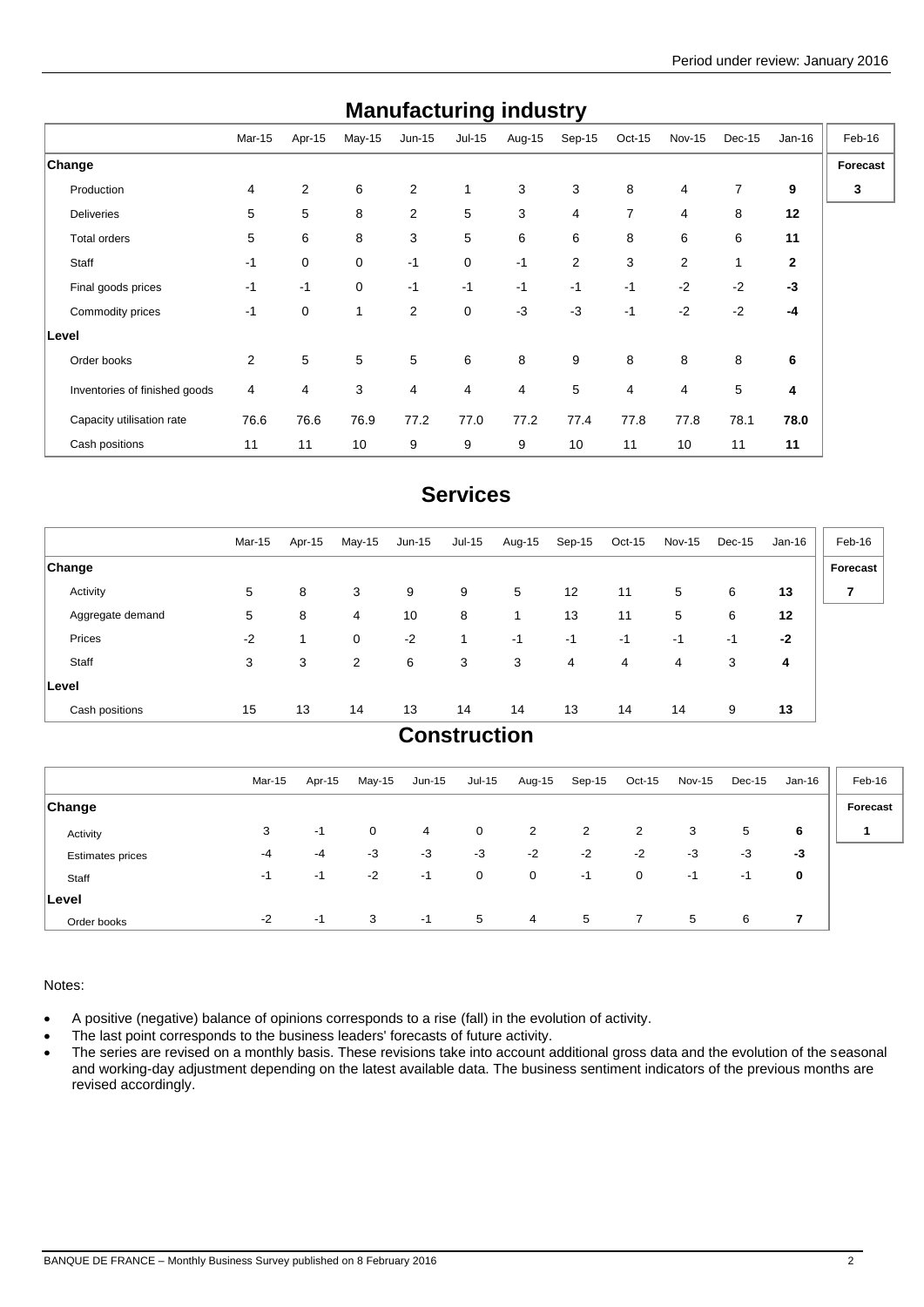| manuravturniy muusti y        |        |                |              |                |          |        |                |                |               |              |              |          |
|-------------------------------|--------|----------------|--------------|----------------|----------|--------|----------------|----------------|---------------|--------------|--------------|----------|
|                               | Mar-15 | Apr-15         | $May-15$     | $Jun-15$       | $Jul-15$ | Aug-15 | Sep-15         | $Oct-15$       | <b>Nov-15</b> | Dec-15       | $Jan-16$     | Feb-16   |
| <b>Change</b>                 |        |                |              |                |          |        |                |                |               |              |              | Forecast |
| Production                    | 4      | $\overline{2}$ | 6            | 2              | 1        | 3      | 3              | 8              | 4             | 7            | 9            | 3        |
| <b>Deliveries</b>             | 5      | 5              | 8            | 2              | 5        | 3      | $\overline{4}$ | $\overline{7}$ | 4             | 8            | 12           |          |
| Total orders                  | 5      | 6              | 8            | 3              | 5        | 6      | 6              | 8              | 6             | 6            | 11           |          |
| Staff                         | $-1$   | 0              | $\mathbf 0$  | $-1$           | 0        | $-1$   | 2              | 3              | 2             | $\mathbf{1}$ | $\mathbf{2}$ |          |
| Final goods prices            | $-1$   | $-1$           | $\mathbf 0$  | $-1$           | $-1$     | $-1$   | $-1$           | $-1$           | $-2$          | $-2$         | $-3$         |          |
| Commodity prices              | $-1$   | 0              | $\mathbf{1}$ | 2              | 0        | $-3$   | $-3$           | $-1$           | $-2$          | $-2$         | $-4$         |          |
| Level                         |        |                |              |                |          |        |                |                |               |              |              |          |
| Order books                   | 2      | 5              | 5            | 5              | 6        | 8      | 9              | 8              | 8             | 8            | 6            |          |
| Inventories of finished goods | 4      | 4              | 3            | $\overline{4}$ | 4        | 4      | 5              | $\overline{4}$ | 4             | 5            | 4            |          |
| Capacity utilisation rate     | 76.6   | 76.6           | 76.9         | 77.2           | 77.0     | 77.2   | 77.4           | 77.8           | 77.8          | 78.1         | 78.0         |          |
| Cash positions                | 11     | 11             | 10           | 9              | 9        | 9      | 10             | 11             | 10            | 11           | 11           |          |

# **Manufacturing industry**

# **Services**

|                  | Mar-15 | Apr-15 | May-15         | $Jun-15$ | Jul-15  | Aug-15 | Sep-15 | Oct-15 | Nov-15 | Dec-15 | Jan-16 | Feb-16   |
|------------------|--------|--------|----------------|----------|---------|--------|--------|--------|--------|--------|--------|----------|
| <b>Change</b>    |        |        |                |          |         |        |        |        |        |        |        | Forecast |
| Activity         | 5      | 8      | 3              | 9        | 9       | 5      | 12     | 11     | 5      | 6      | 13     | 7        |
| Aggregate demand | 5      | 8      | 4              | 10       | 8       |        | 13     | 11     | 5      | 6      | 12     |          |
| Prices           | $-2$   | 1      | 0              | $-2$     | 1       | $-1$   | $-1$   | $-1$   | -1     | $-1$   | $-2$   |          |
| Staff            | 3      | 3      | $\overline{2}$ | 6        | 3       | 3      | 4      | 4      | 4      | 3      | 4      |          |
| Level            |        |        |                |          |         |        |        |        |        |        |        |          |
| Cash positions   | 15     | 13     | 14             | 13       | 14      | 14     | 13     | 14     | 14     | 9      | 13     |          |
|                  |        |        |                |          | $R = 1$ |        |        |        |        |        |        |          |

## **Construction**

|                         | Mar-15 | Apr-15 | May-15      | Jun-15 | Jul-15 | Aug-15         | Sep-15 | $Oct-15$       | <b>Nov-15</b> | Dec-15 | Jan-16 | Feb-16   |
|-------------------------|--------|--------|-------------|--------|--------|----------------|--------|----------------|---------------|--------|--------|----------|
| <b>Change</b>           |        |        |             |        |        |                |        |                |               |        |        | Forecast |
| Activity                | 3      | $-1$   | $\mathbf 0$ | 4      | 0      | 2              | 2      | $\overline{2}$ | 3             | 5      | 6      | 4        |
| <b>Estimates prices</b> | -4     | $-4$   | $-3$        | $-3$   | $-3$   | $-2$           | $-2$   | $-2$           | $-3$          | $-3$   | $-3$   |          |
| Staff                   | -1     | $-1$   | $-2$        | $-1$   | 0      | $\mathbf 0$    | $-1$   | 0              | -1            | -1     | 0      |          |
| ∣Level                  |        |        |             |        |        |                |        |                |               |        |        |          |
| Order books             | $-2$   | $-1$   | 3           | -1     | 5      | $\overline{4}$ | 5      | $\mathbf{7}$   | 5             | 6      | 7      |          |

## Notes:

- A positive (negative) balance of opinions corresponds to a rise (fall) in the evolution of activity.
- The last point corresponds to the business leaders' forecasts of future activity.
- The series are revised on a monthly basis. These revisions take into account additional gross data and the evolution of the seasonal and working-day adjustment depending on the latest available data. The business sentiment indicators of the previous months are revised accordingly.